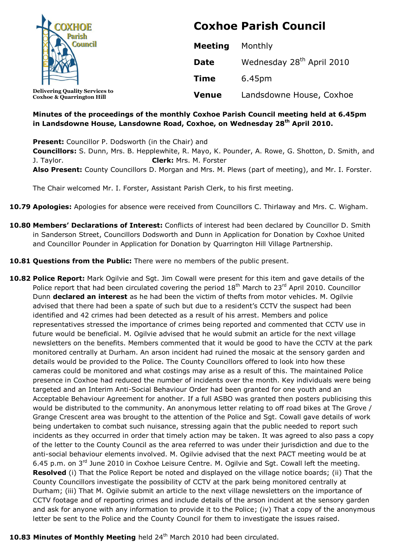| <b>DXHOE</b>                                                                  | <b>Coxhoe Parish Council</b> |                                       |
|-------------------------------------------------------------------------------|------------------------------|---------------------------------------|
|                                                                               | <b>Meeting</b>               | Monthly                               |
|                                                                               | <b>Date</b>                  | Wednesday 28 <sup>th</sup> April 2010 |
|                                                                               | <b>Time</b>                  | 6.45pm                                |
| <b>Delivering Quality Services to</b><br><b>Coxhoe &amp; Quarrington Hill</b> | <b>Venue</b>                 | Landsdowne House, Coxhoe              |

## **Minutes of the proceedings of the monthly Coxhoe Parish Council meeting held at 6.45pm in Landsdowne House, Lansdowne Road, Coxhoe, on Wednesday 28 th April 2010.**

**Present:** Councillor P. Dodsworth (in the Chair) and **Councillors:** S. Dunn, Mrs. B. Hepplewhite, R. Mayo, K. Pounder, A. Rowe, G. Shotton, D. Smith, and J. Taylor. **Clerk:** Mrs. M. Forster **Also Present:** County Councillors D. Morgan and Mrs. M. Plews (part of meeting), and Mr. I. Forster.

The Chair welcomed Mr. I. Forster, Assistant Parish Clerk, to his first meeting.

- **10.79 Apologies:** Apologies for absence were received from Councillors C. Thirlaway and Mrs. C. Wigham.
- **10.80 Members' Declarations of Interest:** Conflicts of interest had been declared by Councillor D. Smith in Sanderson Street, Councillors Dodsworth and Dunn in Application for Donation by Coxhoe United and Councillor Pounder in Application for Donation by Quarrington Hill Village Partnership.
- **10.81 Questions from the Public:** There were no members of the public present.
- **10.82 Police Report:** Mark Ogilvie and Sgt. Jim Cowall were present for this item and gave details of the Police report that had been circulated covering the period  $18<sup>th</sup>$  March to  $23<sup>rd</sup>$  April 2010. Councillor Dunn **declared an interest** as he had been the victim of thefts from motor vehicles. M. Ogilvie advised that there had been a spate of such but due to a resident's CCTV the suspect had been identified and 42 crimes had been detected as a result of his arrest. Members and police representatives stressed the importance of crimes being reported and commented that CCTV use in future would be beneficial. M. Ogilvie advised that he would submit an article for the next village newsletters on the benefits. Members commented that it would be good to have the CCTV at the park monitored centrally at Durham. An arson incident had ruined the mosaic at the sensory garden and details would be provided to the Police. The County Councillors offered to look into how these cameras could be monitored and what costings may arise as a result of this. The maintained Police presence in Coxhoe had reduced the number of incidents over the month. Key individuals were being targeted and an Interim Anti-Social Behaviour Order had been granted for one youth and an Acceptable Behaviour Agreement for another. If a full ASBO was granted then posters publicising this would be distributed to the community. An anonymous letter relating to off road bikes at The Grove / Grange Crescent area was brought to the attention of the Police and Sgt. Cowall gave details of work being undertaken to combat such nuisance, stressing again that the public needed to report such incidents as they occurred in order that timely action may be taken. It was agreed to also pass a copy of the letter to the County Council as the area referred to was under their jurisdiction and due to the anti-social behaviour elements involved. M. Ogilvie advised that the next PACT meeting would be at 6.45 p.m. on  $3^{rd}$  June 2010 in Coxhoe Leisure Centre. M. Ogilvie and Sqt. Cowall left the meeting. **Resolved** (i) That the Police Report be noted and displayed on the village notice boards; (ii) That the County Councillors investigate the possibility of CCTV at the park being monitored centrally at Durham; (iii) That M. Ogilvie submit an article to the next village newsletters on the importance of CCTV footage and of reporting crimes and include details of the arson incident at the sensory garden and ask for anyone with any information to provide it to the Police; (iv) That a copy of the anonymous letter be sent to the Police and the County Council for them to investigate the issues raised.

#### 10.83 Minutes of Monthly Meeting held 24<sup>th</sup> March 2010 had been circulated.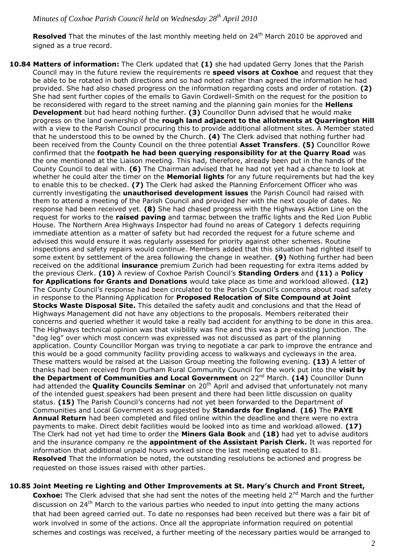Resolved That the minutes of the last monthly meeting held on 24<sup>th</sup> March 2010 be approved and signed as a true record.

**10.84 Matters of information:** The Clerk updated that **(1)** she had updated Gerry Jones that the Parish Council may in the future review the requirements re **speed visors at Coxhoe** and request that they be able to be rotated in both directions and so had noted rather than agreed the information he had provided. She had also chased progress on the information regarding costs and order of rotation. **(2)** She had sent further copies of the emails to Gavin Cordwell-Smith on the request for the position to be reconsidered with regard to the street naming and the planning gain monies for the **Hellens Development** but had heard nothing further. **(3)** Councillor Dunn advised that he would make progress on the land ownership of the **rough land adjacent to the allotments at Quarrington Hill** with a view to the Parish Council procuring this to provide additional allotment sites. A Member stated that he understood this to be owned by the Church. **(4)** The Clerk advised that nothing further had been received from the County Council on the three potential **Asset Transfers**. **(5)** Councillor Rowe confirmed that the **footpath he had been querying responsibility for at the Quarry Road** was the one mentioned at the Liaison meeting. This had, therefore, already been put in the hands of the County Council to deal with. **(6)** The Chairman advised that he had not yet had a chance to look at whether he could alter the timer on the **Memorial lights** for any future requirements but had the key to enable this to be checked. **(7)** The Clerk had asked the Planning Enforcement Officer who was currently investigating the **unauthorised development issues** the Parish Council had raised with them to attend a meeting of the Parish Council and provided her with the next couple of dates. No response had been received yet. **(8)** She had chased progress with the Highways Action Line on the request for works to the **raised paving** and tarmac between the traffic lights and the Red Lion Public House. The Northern Area Highways Inspector had found no areas of Category 1 defects requiring immediate attention as a matter of safety but had recorded the request for a future scheme and advised this would ensure it was regularly assessed for priority against other schemes. Routine inspections and safety repairs would continue. Members added that this situation had righted itself to some extent by settlement of the area following the change in weather. **(9)** Nothing further had been received on the additional **insurance** premium Zurich had been requesting for extra items added by the previous Clerk. **(10)** A review of Coxhoe Parish Council's **Standing Orders** and **(11)** a **Policy for Applications for Grants and Donations** would take place as time and workload allowed. **(12)** The County Council's response had been circulated to the Parish Council's concerns about road safety in response to the Planning Application for **Proposed Relocation of Site Compound at Joint Stocks Waste Disposal Site.** This detailed the safety audit and conclusions and that the Head of Highways Management did not have any objections to the proposals. Members reiterated their concerns and queried whether it would take a really bad accident for anything to be done in this area. The Highways technical opinion was that visibility was fine and this was a pre-existing junction. The "dog leg" over which most concern was expressed was not discussed as part of the planning application. County Councillor Morgan was trying to negotiate a car park to improve the entrance and this would be a good community facility providing access to walkways and cycleways in the area. These matters would be raised at the Liaison Group meeting the following evening. **(13)** A letter of thanks had been received from Durham Rural Community Council for the work put into the **visit by**  the Department of Communities and Local Government on 22<sup>nd</sup> March. (14) Councillor Dunn had attended the **Quality Councils Seminar** on 20<sup>th</sup> April and advised that unfortunately not many of the intended guest speakers had been present and there had been little discussion on quality status. **(15)** The Parish Council's concerns had not yet been forwarded to the Department of Communities and Local Government as suggested by **Standards for England**. **(16)** The **PAYE Annual Return** had been completed and filed online within the deadline and there were no extra payments to make. Direct debit facilities would be looked into as time and workload allowed. **(17)** The Clerk had not yet had time to order the **Miners Gala Book** and **(18)** had yet to advise auditors and the insurance company re the **appointment of the Assistant Parish Clerk.** It was reported for information that additional unpaid hours worked since the last meeting equated to 81. **Resolved** That the information be noted, the outstanding resolutions be actioned and progress be requested on those issues raised with other parties.

## **10.85 Joint Meeting re Lighting and Other Improvements at St. Mary's Church and Front Street,**

**Coxhoe:** The Clerk advised that she had sent the notes of the meeting held 2<sup>nd</sup> March and the further discussion on 24<sup>th</sup> March to the various parties who needed to input into getting the many actions that had been agreed carried out. To date no responses had been received but there was a fair bit of work involved in some of the actions. Once all the appropriate information required on potential schemes and costings was received, a further meeting of the necessary parties would be arranged to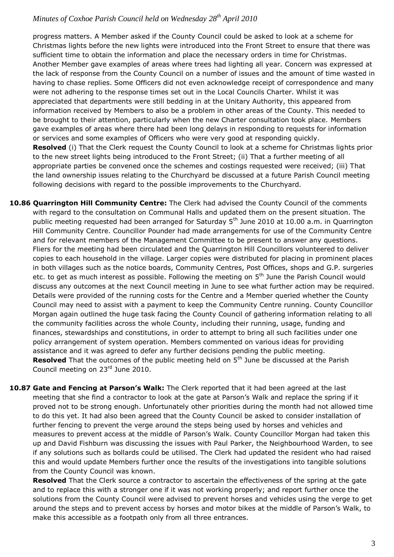progress matters. A Member asked if the County Council could be asked to look at a scheme for Christmas lights before the new lights were introduced into the Front Street to ensure that there was sufficient time to obtain the information and place the necessary orders in time for Christmas. Another Member gave examples of areas where trees had lighting all year. Concern was expressed at the lack of response from the County Council on a number of issues and the amount of time wasted in having to chase replies. Some Officers did not even acknowledge receipt of correspondence and many were not adhering to the response times set out in the Local Councils Charter. Whilst it was appreciated that departments were still bedding in at the Unitary Authority, this appeared from information received by Members to also be a problem in other areas of the County. This needed to be brought to their attention, particularly when the new Charter consultation took place. Members gave examples of areas where there had been long delays in responding to requests for information or services and some examples of Officers who were very good at responding quickly. **Resolved** (i) That the Clerk request the County Council to look at a scheme for Christmas lights prior to the new street lights being introduced to the Front Street; (ii) That a further meeting of all appropriate parties be convened once the schemes and costings requested were received; (iii) That the land ownership issues relating to the Churchyard be discussed at a future Parish Council meeting following decisions with regard to the possible improvements to the Churchyard.

- **10.86 Quarrington Hill Community Centre:** The Clerk had advised the County Council of the comments with regard to the consultation on Communal Halls and updated them on the present situation. The public meeting requested had been arranged for Saturday 5<sup>th</sup> June 2010 at 10.00 a.m. in Quarrington Hill Community Centre. Councillor Pounder had made arrangements for use of the Community Centre and for relevant members of the Management Committee to be present to answer any questions. Fliers for the meeting had been circulated and the Quarrington Hill Councillors volunteered to deliver copies to each household in the village. Larger copies were distributed for placing in prominent places in both villages such as the notice boards, Community Centres, Post Offices, shops and G.P. surgeries etc. to get as much interest as possible. Following the meeting on  $5<sup>th</sup>$  June the Parish Council would discuss any outcomes at the next Council meeting in June to see what further action may be required. Details were provided of the running costs for the Centre and a Member queried whether the County Council may need to assist with a payment to keep the Community Centre running. County Councillor Morgan again outlined the huge task facing the County Council of gathering information relating to all the community facilities across the whole County, including their running, usage, funding and finances, stewardships and constitutions, in order to attempt to bring all such facilities under one policy arrangement of system operation. Members commented on various ideas for providing assistance and it was agreed to defer any further decisions pending the public meeting. **Resolved** That the outcomes of the public meeting held on 5<sup>th</sup> June be discussed at the Parish Council meeting on 23<sup>rd</sup> June 2010.
- **10.87 Gate and Fencing at Parson's Walk:** The Clerk reported that it had been agreed at the last meeting that she find a contractor to look at the gate at Parson's Walk and replace the spring if it proved not to be strong enough. Unfortunately other priorities during the month had not allowed time to do this yet. It had also been agreed that the County Council be asked to consider installation of further fencing to prevent the verge around the steps being used by horses and vehicles and measures to prevent access at the middle of Parson's Walk. County Councillor Morgan had taken this up and David Fishburn was discussing the issues with Paul Parker, the Neighbourhood Warden, to see if any solutions such as bollards could be utilised. The Clerk had updated the resident who had raised this and would update Members further once the results of the investigations into tangible solutions from the County Council was known.

**Resolved** That the Clerk source a contractor to ascertain the effectiveness of the spring at the gate and to replace this with a stronger one if it was not working properly; and report further once the solutions from the County Council were advised to prevent horses and vehicles using the verge to get around the steps and to prevent access by horses and motor bikes at the middle of Parson's Walk, to make this accessible as a footpath only from all three entrances.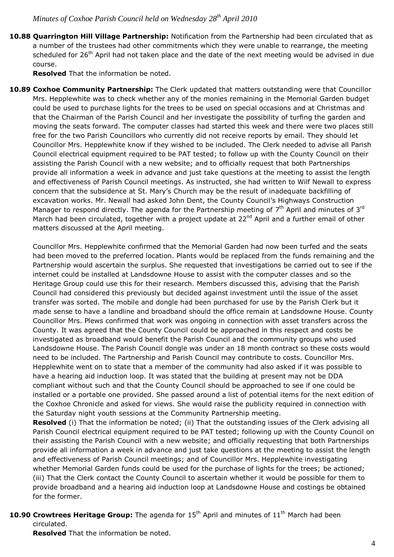**10.88 Quarrington Hill Village Partnership:** Notification from the Partnership had been circulated that as a number of the trustees had other commitments which they were unable to rearrange, the meeting scheduled for 26<sup>th</sup> April had not taken place and the date of the next meeting would be advised in due course.

**Resolved** That the information be noted.

**10.89 Coxhoe Community Partnership:** The Clerk updated that matters outstanding were that Councillor Mrs. Hepplewhite was to check whether any of the monies remaining in the Memorial Garden budget could be used to purchase lights for the trees to be used on special occasions and at Christmas and that the Chairman of the Parish Council and her investigate the possibility of turfing the garden and moving the seats forward. The computer classes had started this week and there were two places still free for the two Parish Councillors who currently did not receive reports by email. They should let Councillor Mrs. Hepplewhite know if they wished to be included. The Clerk needed to advise all Parish Council electrical equipment required to be PAT tested; to follow up with the County Council on their assisting the Parish Council with a new website; and to officially request that both Partnerships provide all information a week in advance and just take questions at the meeting to assist the length and effectiveness of Parish Council meetings. As instructed, she had written to Wilf Newall to express concern that the subsidence at St. Mary's Church may be the result of inadequate backfilling of excavation works. Mr. Newall had asked John Dent, the County Council's Highways Construction Manager to respond directly. The agenda for the Partnership meeting of  $7<sup>th</sup>$  April and minutes of 3<sup>rd</sup> March had been circulated, together with a project update at 22<sup>nd</sup> April and a further email of other matters discussed at the April meeting.

Councillor Mrs. Hepplewhite confirmed that the Memorial Garden had now been turfed and the seats had been moved to the preferred location. Plants would be replaced from the funds remaining and the Partnership would ascertain the surplus. She requested that investigations be carried out to see if the internet could be installed at Landsdowne House to assist with the computer classes and so the Heritage Group could use this for their research. Members discussed this, advising that the Parish Council had considered this previously but decided against investment until the issue of the asset transfer was sorted. The mobile and dongle had been purchased for use by the Parish Clerk but it made sense to have a landline and broadband should the office remain at Landsdowne House. County Councillor Mrs. Plews confirmed that work was ongoing in connection with asset transfers across the County. It was agreed that the County Council could be approached in this respect and costs be investigated as broadband would benefit the Parish Council and the community groups who used Landsdowne House. The Parish Council dongle was under an 18 month contract so these costs would need to be included. The Partnership and Parish Council may contribute to costs. Councillor Mrs. Hepplewhite went on to state that a member of the community had also asked if it was possible to have a hearing aid induction loop. It was stated that the building at present may not be DDA compliant without such and that the County Council should be approached to see if one could be installed or a portable one provided. She passed around a list of potential items for the next edition of the Coxhoe Chronicle and asked for views. She would raise the publicity required in connection with the Saturday night youth sessions at the Community Partnership meeting.

**Resolved** (i) That the information be noted; (ii) That the outstanding issues of the Clerk advising all Parish Council electrical equipment required to be PAT tested; following up with the County Council on their assisting the Parish Council with a new website; and officially requesting that both Partnerships provide all information a week in advance and just take questions at the meeting to assist the length and effectiveness of Parish Council meetings; and of Councillor Mrs. Hepplewhite investigating whether Memorial Garden funds could be used for the purchase of lights for the trees; be actioned; (iii) That the Clerk contact the County Council to ascertain whether it would be possible for them to provide broadband and a hearing aid induction loop at Landsdowne House and costings be obtained for the former.

# **10.90 Crowtrees Heritage Group:** The agenda for 15<sup>th</sup> April and minutes of 11<sup>th</sup> March had been circulated.

**Resolved** That the information be noted.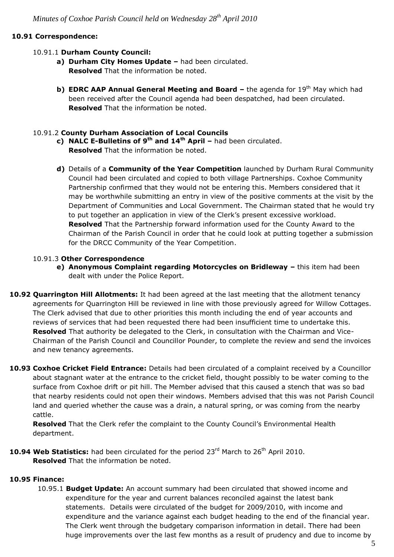## **10.91 Correspondence:**

### 10.91.1 **Durham County Council:**

- **a) Durham City Homes Update –** had been circulated. **Resolved** That the information be noted.
- **b) EDRC AAP Annual General Meeting and Board the agenda for 19<sup>th</sup> May which had** been received after the Council agenda had been despatched, had been circulated. **Resolved** That the information be noted.

### 10.91.2 **County Durham Association of Local Councils**

- **c) NALC E-Bulletins of 9 th and 14 th April –** had been circulated. **Resolved** That the information be noted.
- **d)** Details of a **Community of the Year Competition** launched by Durham Rural Community Council had been circulated and copied to both village Partnerships. Coxhoe Community Partnership confirmed that they would not be entering this. Members considered that it may be worthwhile submitting an entry in view of the positive comments at the visit by the Department of Communities and Local Government. The Chairman stated that he would try to put together an application in view of the Clerk's present excessive workload. **Resolved** That the Partnership forward information used for the County Award to the Chairman of the Parish Council in order that he could look at putting together a submission for the DRCC Community of the Year Competition.

#### 10.91.3 **Other Correspondence**

- **e) Anonymous Complaint regarding Motorcycles on Bridleway –** this item had been dealt with under the Police Report.
- **10.92 Quarrington Hill Allotments:** It had been agreed at the last meeting that the allotment tenancy agreements for Quarrington Hill be reviewed in line with those previously agreed for Willow Cottages. The Clerk advised that due to other priorities this month including the end of year accounts and reviews of services that had been requested there had been insufficient time to undertake this. **Resolved** That authority be delegated to the Clerk, in consultation with the Chairman and Vice-Chairman of the Parish Council and Councillor Pounder, to complete the review and send the invoices and new tenancy agreements.
- **10.93 Coxhoe Cricket Field Entrance:** Details had been circulated of a complaint received by a Councillor about stagnant water at the entrance to the cricket field, thought possibly to be water coming to the surface from Coxhoe drift or pit hill. The Member advised that this caused a stench that was so bad that nearby residents could not open their windows. Members advised that this was not Parish Council land and queried whether the cause was a drain, a natural spring, or was coming from the nearby cattle.

**Resolved** That the Clerk refer the complaint to the County Council's Environmental Health department.

10.94 Web Statistics: had been circulated for the period 23<sup>rd</sup> March to 26<sup>th</sup> April 2010. **Resolved** That the information be noted.

#### **10.95 Finance:**

10.95.1 **Budget Update:** An account summary had been circulated that showed income and expenditure for the year and current balances reconciled against the latest bank statements. Details were circulated of the budget for 2009/2010, with income and expenditure and the variance against each budget heading to the end of the financial year. The Clerk went through the budgetary comparison information in detail. There had been huge improvements over the last few months as a result of prudency and due to income by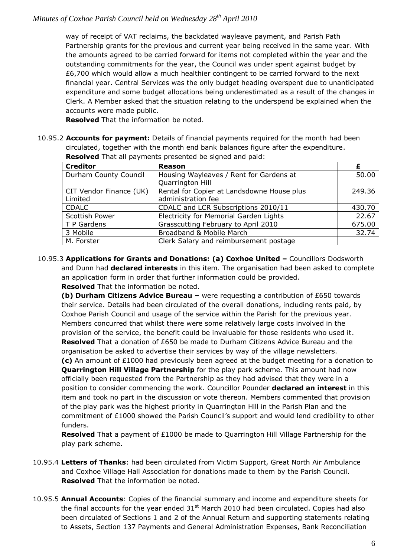way of receipt of VAT reclaims, the backdated wayleave payment, and Parish Path Partnership grants for the previous and current year being received in the same year. With the amounts agreed to be carried forward for items not completed within the year and the outstanding commitments for the year, the Council was under spent against budget by £6,700 which would allow a much healthier contingent to be carried forward to the next financial year. Central Services was the only budget heading overspent due to unanticipated expenditure and some budget allocations being underestimated as a result of the changes in Clerk. A Member asked that the situation relating to the underspend be explained when the accounts were made public.

**Resolved** That the information be noted.

10.95.2 **Accounts for payment:** Details of financial payments required for the month had been circulated, together with the month end bank balances figure after the expenditure. **Resolved** That all payments presented be signed and paid:

| <b>Creditor</b>                    | <b>Reason</b>                                                    |        |
|------------------------------------|------------------------------------------------------------------|--------|
| Durham County Council              | Housing Wayleaves / Rent for Gardens at<br>Quarrington Hill      | 50.00  |
| CIT Vendor Finance (UK)<br>Limited | Rental for Copier at Landsdowne House plus<br>administration fee | 249.36 |
| <b>CDALC</b>                       | CDALC and LCR Subscriptions 2010/11                              | 430.70 |
| Scottish Power                     | Electricity for Memorial Garden Lights                           | 22.67  |
| T P Gardens                        | Grasscutting February to April 2010                              | 675.00 |
| 3 Mobile                           | Broadband & Mobile March                                         | 32.74  |
| M. Forster                         | Clerk Salary and reimbursement postage                           |        |

10.95.3 **Applications for Grants and Donations: (a) Coxhoe United –** Councillors Dodsworth and Dunn had **declared interests** in this item. The organisation had been asked to complete an application form in order that further information could be provided. **Resolved** That the information be noted.

**(b) Durham Citizens Advice Bureau –** were requesting a contribution of £650 towards their service. Details had been circulated of the overall donations, including rents paid, by Coxhoe Parish Council and usage of the service within the Parish for the previous year. Members concurred that whilst there were some relatively large costs involved in the provision of the service, the benefit could be invaluable for those residents who used it. **Resolved** That a donation of £650 be made to Durham Citizens Advice Bureau and the organisation be asked to advertise their services by way of the village newsletters.

**(c)** An amount of £1000 had previously been agreed at the budget meeting for a donation to **Quarrington Hill Village Partnership** for the play park scheme. This amount had now officially been requested from the Partnership as they had advised that they were in a position to consider commencing the work. Councillor Pounder **declared an interest** in this item and took no part in the discussion or vote thereon. Members commented that provision of the play park was the highest priority in Quarrington Hill in the Parish Plan and the commitment of £1000 showed the Parish Council's support and would lend credibility to other funders.

**Resolved** That a payment of £1000 be made to Quarrington Hill Village Partnership for the play park scheme.

- 10.95.4 **Letters of Thanks**: had been circulated from Victim Support, Great North Air Ambulance and Coxhoe Village Hall Association for donations made to them by the Parish Council. **Resolved** That the information be noted.
- 10.95.5 **Annual Accounts**: Copies of the financial summary and income and expenditure sheets for the final accounts for the year ended  $31<sup>st</sup>$  March 2010 had been circulated. Copies had also been circulated of Sections 1 and 2 of the Annual Return and supporting statements relating to Assets, Section 137 Payments and General Administration Expenses, Bank Reconciliation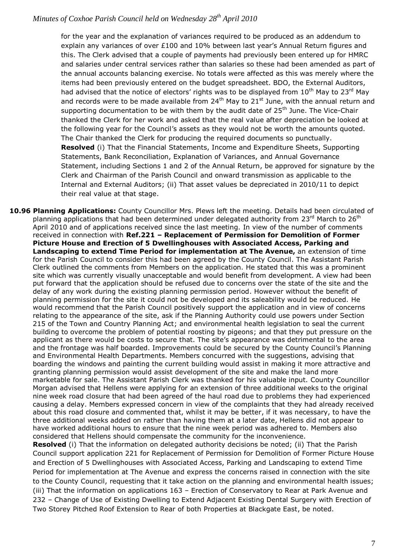for the year and the explanation of variances required to be produced as an addendum to explain any variances of over £100 and 10% between last year's Annual Return figures and this. The Clerk advised that a couple of payments had previously been entered up for HMRC and salaries under central services rather than salaries so these had been amended as part of the annual accounts balancing exercise. No totals were affected as this was merely where the items had been previously entered on the budget spreadsheet. BDO, the External Auditors, had advised that the notice of electors' rights was to be displayed from  $10^{th}$  May to  $23^{rd}$  May and records were to be made available from  $24<sup>th</sup>$  May to  $21<sup>st</sup>$  June, with the annual return and supporting documentation to be with them by the audit date of  $25<sup>th</sup>$  June. The Vice-Chair thanked the Clerk for her work and asked that the real value after depreciation be looked at the following year for the Council's assets as they would not be worth the amounts quoted. The Chair thanked the Clerk for producing the required documents so punctually. **Resolved** (i) That the Financial Statements, Income and Expenditure Sheets, Supporting Statements, Bank Reconciliation, Explanation of Variances, and Annual Governance Statement, including Sections 1 and 2 of the Annual Return, be approved for signature by the Clerk and Chairman of the Parish Council and onward transmission as applicable to the Internal and External Auditors; (ii) That asset values be depreciated in 2010/11 to depict their real value at that stage.

**10.96 Planning Applications:** County Councillor Mrs. Plews left the meeting. Details had been circulated of planning applications that had been determined under delegated authority from 23<sup>rd</sup> March to 26<sup>th</sup> April 2010 and of applications received since the last meeting. In view of the number of comments received in connection with **Ref.221 – Replacement of Permission for Demolition of Former Picture House and Erection of 5 Dwellinghouses with Associated Access, Parking and Landscaping to extend Time Period for implementation at The Avenue,** an extension of time for the Parish Council to consider this had been agreed by the County Council. The Assistant Parish Clerk outlined the comments from Members on the application. He stated that this was a prominent site which was currently visually unacceptable and would benefit from development. A view had been put forward that the application should be refused due to concerns over the state of the site and the delay of any work during the existing planning permission period. However without the benefit of planning permission for the site it could not be developed and its saleability would be reduced. He would recommend that the Parish Council positively support the application and in view of concerns relating to the appearance of the site, ask if the Planning Authority could use powers under Section 215 of the Town and Country Planning Act; and environmental health legislation to seal the current building to overcome the problem of potential roosting by pigeons; and that they put pressure on the applicant as there would be costs to secure that. The site's appearance was detrimental to the area and the frontage was half boarded. Improvements could be secured by the County Council's Planning and Environmental Health Departments. Members concurred with the suggestions, advising that boarding the windows and painting the current building would assist in making it more attractive and granting planning permission would assist development of the site and make the land more marketable for sale. The Assistant Parish Clerk was thanked for his valuable input. County Councillor Morgan advised that Hellens were applying for an extension of three additional weeks to the original nine week road closure that had been agreed of the haul road due to problems they had experienced causing a delay. Members expressed concern in view of the complaints that they had already received about this road closure and commented that, whilst it may be better, if it was necessary, to have the three additional weeks added on rather than having them at a later date, Hellens did not appear to have worked additional hours to ensure that the nine week period was adhered to. Members also considered that Hellens should compensate the community for the inconvenience.

**Resolved** (i) That the information on delegated authority decisions be noted; (ii) That the Parish Council support application 221 for Replacement of Permission for Demolition of Former Picture House and Erection of 5 Dwellinghouses with Associated Access, Parking and Landscaping to extend Time Period for implementation at The Avenue and express the concerns raised in connection with the site to the County Council, requesting that it take action on the planning and environmental health issues; (iii) That the information on applications 163 – Erection of Conservatory to Rear at Park Avenue and 232 – Change of Use of Existing Dwelling to Extend Adjacent Existing Dental Surgery with Erection of Two Storey Pitched Roof Extension to Rear of both Properties at Blackgate East, be noted.